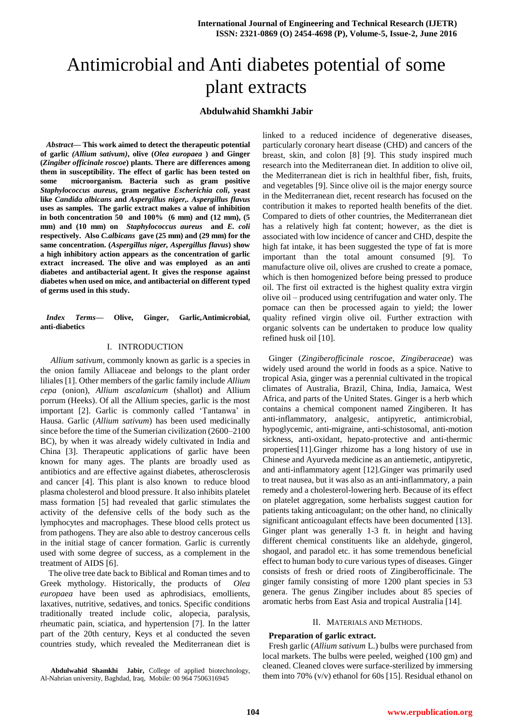# Antimicrobial and Anti diabetes potential of some plant extracts

# **Abdulwahid Shamkhi Jabir**

*Abstract***— This work aimed to detect the therapeutic potential of garlic** *(Allium sativum)***, olive (***Olea europaea* **) and Ginger (***Zingiber officinale roscoe***) plants. There are differences among them in susceptibility. The effect of garlic has been tested on some microorganism. Bacteria such as gram positive**  *Staphylococcus aureus***, gram negative** *Escherichia coli***, yeast like** *Candida albicans* **and** *Aspergillus niger,. Aspergillus flavus* **uses as samples. The garlic extract makes a value of inhibition in both concentration 50 and 100% (6 mm) and (12 mm), (5 mm) and (10 mm) on** *Staphylococcus aureus* **and** *E. coli* **respectively. Also** *C.albicans* **gave (25 mm) and (29 mm) for the same concentration. (***Aspergillus niger, Aspergillus flavus***) show a high inhibitory action appears as the concentration of garlic extract increased. The olive and was employed as an anti diabetes and antibacterial agent. It gives the response against diabetes when used on mice, and antibacterial on different typed of germs used in this study.** 

*Index Terms***— Olive, Ginger, Garlic***,***Antimicrobial, anti-diabetics**

## I. INTRODUCTION

 *Allium sativum*, commonly known as garlic is a species in the onion family Alliaceae and belongs to the plant order liliales [1]. Other members of the garlic family include *Allium cepa* (onion), *Allium ascalanicum* (shallot) and Allium porrum (Heeks). Of all the Allium species, garlic is the most important [2]. Garlic is commonly called 'Tantanwa' in Hausa. Garlic (*Allium sativum*) has been used medicinally since before the time of the Sumerian civilization (2600–2100 BC), by when it was already widely cultivated in India and China [3]. Therapeutic applications of garlic have been known for many ages. The plants are broadly used as antibiotics and are effective against diabetes, atherosclerosis and cancer [4]. This plant is also known to reduce blood plasma cholesterol and blood pressure. It also inhibits platelet mass formation [5] had revealed that garlic stimulates the activity of the defensive cells of the body such as the lymphocytes and macrophages. These blood cells protect us from pathogens. They are also able to destroy cancerous cells in the initial stage of cancer formation. Garlic is currently used with some degree of success, as a complement in the treatment of AIDS [6].

The olive tree date back to Biblical and Roman times and to Greek mythology. Historically, the products of *Olea europaea* have been used as aphrodisiacs, emollients, laxatives, nutritive, sedatives, and tonics. Specific conditions traditionally treated include colic, alopecia, paralysis, rheumatic pain, sciatica, and hypertension [7]. In the latter part of the 20th century, Keys et al conducted the seven countries study, which revealed the Mediterranean diet is

**Abdulwahid Shamkhi Jabir,** College of applied biotechnology, Al-Nahrian university, Baghdad, Iraq, Mobile: 00 964 7506316945

linked to a reduced incidence of degenerative diseases, particularly coronary heart disease (CHD) and cancers of the breast, skin, and colon [8] [9]. This study inspired much research into the Mediterranean diet. In addition to olive oil, the Mediterranean diet is rich in healthful fiber, fish, fruits, and vegetables [9]. Since olive oil is the major energy source in the Mediterranean diet, recent research has focused on the contribution it makes to reported health benefits of the diet. Compared to diets of other countries, the Mediterranean diet has a relatively high fat content; however, as the diet is associated with low incidence of cancer and CHD, despite the high fat intake, it has been suggested the type of fat is more important than the total amount consumed [9]. To manufacture olive oil, olives are crushed to create a pomace, which is then homogenized before being pressed to produce oil. The first oil extracted is the highest quality extra virgin olive oil – produced using centrifugation and water only. The pomace can then be processed again to yield; the lower quality refined virgin olive oil. Further extraction with organic solvents can be undertaken to produce low quality refined husk oil [10].

Ginger (*Zingiberofficinale roscoe*, *Zingiberaceae*) was widely used around the world in foods as a spice. Native to tropical Asia, ginger was a perennial cultivated in the tropical climates of Australia, Brazil, China, India, Jamaica, West Africa, and parts of the United States. Ginger is a herb which contains a chemical component named Zingiberen. It has anti-inflammatory, analgesic, antipyretic, antimicrobial, hypoglycemic, anti-migraine, anti-schistosomal, anti-motion sickness, anti-oxidant, hepato-protective and anti-thermic properties[11].Ginger rhizome has a long history of use in Chinese and Ayurveda medicine as an antiemetic, antipyretic, and anti-inflammatory agent [12].Ginger was primarily used to treat nausea, but it was also as an anti-inflammatory, a pain remedy and a cholesterol-lowering herb. Because of its effect on platelet aggregation, some herbalists suggest caution for patients taking anticoagulant; on the other hand, no clinically significant anticoagulant effects have been documented [13]. Ginger plant was generally 1-3 ft. in height and having different chemical constituents like an aldehyde, gingerol, shogaol, and paradol etc. it has some tremendous beneficial effect to human body to cure various types of diseases. Ginger consists of fresh or dried roots of Zingiberofficinale. The ginger family consisting of more 1200 plant species in 53 genera. The genus Zingiber includes about 85 species of aromatic herbs from East Asia and tropical Australia [14].

#### II. MATERIALS AND METHODS.

## **Preparation of garlic extract.**

Fresh garlic (*Allium sativum* L.) bulbs were purchased from local markets. The bulbs were peeled, weighed (100 gm) and cleaned. Cleaned cloves were surface-sterilized by immersing them into 70% (v/v) ethanol for 60s [15]. Residual ethanol on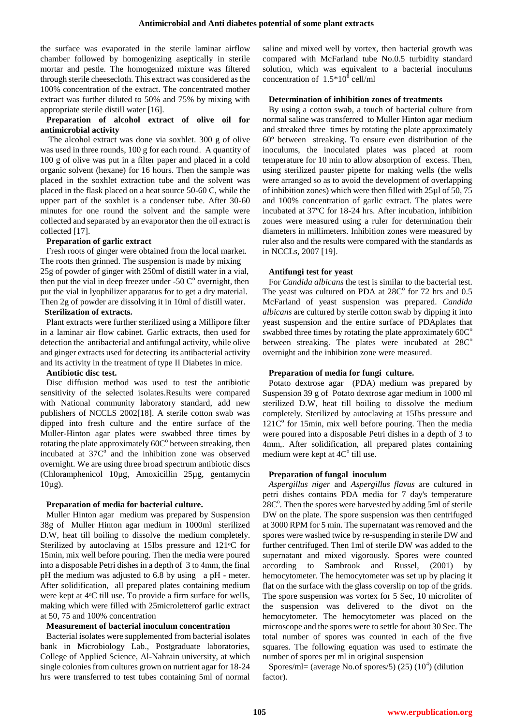the surface was evaporated in the sterile laminar airflow chamber followed by homogenizing aseptically in sterile mortar and pestle. The homogenized mixture was filtered through sterile cheesecloth. This extract was considered as the 100% concentration of the extract. The concentrated mother extract was further diluted to 50% and 75% by mixing with appropriate sterile distill water [16].

## **Preparation of alcohol extract of olive oil for antimicrobial activity**

The alcohol extract was done via soxhlet. 300 g of olive was used in three rounds, 100 g for each round. A quantity of 100 g of olive was put in a filter paper and placed in a cold organic solvent (hexane) for 16 hours. Then the sample was placed in the soxhlet extraction tube and the solvent was placed in the flask placed on a heat source 50-60 C, while the upper part of the soxhlet is a condenser tube. After 30-60 minutes for one round the solvent and the sample were collected and separated by an evaporator then the oil extract is collected [17].

### **Preparation of garlic extract**

Fresh roots of ginger were obtained from the local market. The roots then grinned. The suspension is made by mixing 25g of powder of ginger with 250ml of distill water in a vial, then put the vial in deep freezer under -50  $C^{\circ}$  overnight, then put the vial in lyophilizer apparatus for to get a dry material. Then 2g of powder are dissolving it in 10ml of distill water.

### **Sterilization of extracts.**

Plant extracts were further sterilized using a Millipore filter in a laminar air flow cabinet. Garlic extracts, then used for detection the antibacterial and antifungal activity, while olive and ginger extracts used for detecting its antibacterial activity and its activity in the treatment of type II Diabetes in mice.

### **Antibiotic disc test.**

Disc diffusion method was used to test the antibiotic sensitivity of the selected isolates.Results were compared with National community laboratory standard, add new publishers of NCCLS 2002[18]. A sterile cotton swab was dipped into fresh culture and the entire surface of the Muller-Hinton agar plates were swabbed three times by rotating the plate approximately  $60C<sup>o</sup>$  between streaking, then incubated at  $37C^{\circ}$  and the inhibition zone was observed overnight. We are using three broad spectrum antibiotic discs (Chloramphenicol 10µg, Amoxicillin 25µg, gentamycin  $10\mu$ g).

# **Preparation of media for bacterial culture.**

Muller Hinton agar medium was prepared by Suspension 38g of Muller Hinton agar medium in 1000ml sterilized D.W, heat till boiling to dissolve the medium completely. Sterilized by autoclaving at 15Ibs pressure and 121<sup>o</sup>C for 15min, mix well before pouring. Then the media were poured into a disposable Petri dishes in a depth of 3 to 4mm, the final pH the medium was adjusted to 6.8 by using a pH - meter. After solidification, all prepared plates containing medium were kept at 4°C till use. To provide a firm surface for wells, making which were filled with 25microletterof garlic extract at 50, 75 and 100% concentration

# **Measurement of bacterial inoculum concentration**

Bacterial isolates were supplemented from bacterial isolates bank in Microbiology Lab., Postgraduate laboratories, College of Applied Science, Al-Nahrain university, at which single colonies from cultures grown on nutrient agar for 18-24 hrs were transferred to test tubes containing 5ml of normal

saline and mixed well by vortex, then bacterial growth was compared with McFarland tube No.0.5 turbidity standard solution, which was equivalent to a bacterial inoculums concentration of  $1.5*10^8$  cell/ml

## **Determination of inhibition zones of treatments**

By using a cotton swab, a touch of bacterial culture from normal saline was transferred to Muller Hinton agar medium and streaked three times by rotating the plate approximately 60º between streaking. To ensure even distribution of the inoculums, the inoculated plates was placed at room temperature for 10 min to allow absorption of excess. Then, using sterilized pauster pipette for making wells (the wells were arranged so as to avoid the development of overlapping of inhibition zones) which were then filled with 25µl of 50, 75 and 100% concentration of garlic extract. The plates were incubated at 37ºC for 18-24 hrs. After incubation, inhibition zones were measured using a ruler for determination their diameters in millimeters. Inhibition zones were measured by ruler also and the results were compared with the standards as in NCCLs, 2007 [19].

# **Antifungi test for yeast**

For *Candida albicans* the test is similar to the bacterial test. The yeast was cultured on PDA at  $28C<sup>o</sup>$  for 72 hrs and 0.5 McFarland of yeast suspension was prepared. *Candida albicans* are cultured by sterile cotton swab by dipping it into yeast suspension and the entire surface of PDAplates that swabbed three times by rotating the plate approximately  $60C^{\circ}$ between streaking. The plates were incubated at  $28C<sup>o</sup>$ overnight and the inhibition zone were measured.

### **Preparation of media for fungi culture.**

Potato dextrose agar (PDA) medium was prepared by Suspension 39 g of Potato dextrose agar medium in 1000 ml sterilized D.W, heat till boiling to dissolve the medium completely. Sterilized by autoclaving at 15Ibs pressure and  $121C<sup>o</sup>$  for 15min, mix well before pouring. Then the media were poured into a disposable Petri dishes in a depth of 3 to 4mm,. After solidification, all prepared plates containing medium were kept at  $4C<sup>o</sup>$  till use.

# **Preparation of fungal inoculum**

*Aspergillus niger* and *Aspergillus flavus* are cultured in petri dishes contains PDA media for 7 day's temperature  $28C<sup>o</sup>$ . Then the spores were harvested by adding 5ml of sterile DW on the plate. The spore suspension was then centrifuged at 3000 RPM for 5 min. The supernatant was removed and the spores were washed twice by re-suspending in sterile DW and further centrifuged. Then 1ml of sterile DW was added to the supernatant and mixed vigorously. Spores were counted according to Sambrook and Russel, (2001) by hemocytometer. The hemocytometer was set up by placing it flat on the surface with the glass coverslip on top of the grids. The spore suspension was vortex for 5 Sec, 10 microliter of the suspension was delivered to the divot on the hemocytometer. The hemocytometer was placed on the microscope and the spores were to settle for about 30 Sec. The total number of spores was counted in each of the five squares. The following equation was used to estimate the number of spores per ml in original suspension

Spores/ml= (average No.of spores/5) $(25)$   $(10<sup>4</sup>)$  (dilution factor).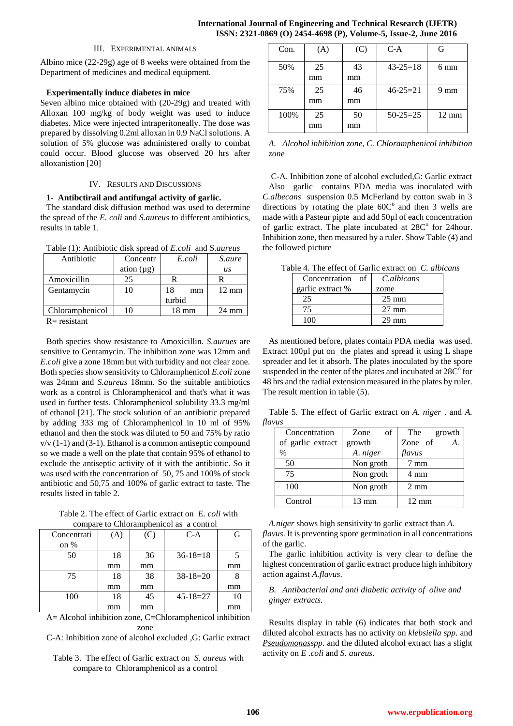### III. EXPERIMENTAL ANIMALS

Albino mice (22-29g) age of 8 weeks were obtained from the Department of medicines and medical equipment.

## **Experimentally induce diabetes in mice**

Seven albino mice obtained with (20-29g) and treated with Alloxan 100 mg/kg of body weight was used to induce diabetes. Mice were injected intraperitoneally. The dose was prepared by dissolving 0.2ml alloxan in 0.9 NaCl solutions. A solution of 5% glucose was administered orally to combat could occur. Blood glucose was observed 20 hrs after alloxanistion [20]

## IV. RESULTS AND DISCUSSIONS

# **1- Antibctirail and antifungal activity of garlic.**

The standard disk diffusion method was used to determine the spread of the *E. coli* and *S*.*aureus* to different antibiotics, results in table 1.

Table (1): Antibiotic disk spread of *E.coli* and S*.aureus*

| Antibiotic      | Concentr        | E.coli   | S.aure           |
|-----------------|-----------------|----------|------------------|
|                 | ation $(\mu g)$ |          | $\overline{u}$ s |
| Amoxicillin     | 25              | R        |                  |
| Gentamycin      | 10              | 18<br>mm | $12 \text{ mm}$  |
|                 |                 | turbid   |                  |
| Chloramphenicol | 10              | 18 mm    | $24 \text{ mm}$  |
| $R =$ resistant |                 |          |                  |

Both species show resistance to Amoxicillin. *S.aurues* are sensitive to Gentamycin. The inhibition zone was 12mm and *E.coli* give a zone 18mm but with turbidity and not clear zone. Both species show sensitivity to Chloramphenicol *E.coli* zone was 24mm and *S.aureus* 18mm. So the suitable antibiotics work as a control is Chloramphenicol and that's what it was used in further tests. Chloramphenicol solubility 33.3 mg/ml of ethanol [21]. The stock solution of an antibiotic prepared by adding 333 mg of Chloramphenicol in 10 ml of 95% ethanol and then the stock was diluted to 50 and 75% by ratio v/v (1-1) and (3-1). Ethanol is a common antiseptic compound so we made a well on the plate that contain 95% of ethanol to exclude the antiseptic activity of it with the antibiotic. So it was used with the concentration of 50, 75 and 100% of stock antibiotic and 50,75 and 100% of garlic extract to taste. The results listed in table 2.

Table 2. The effect of Garlic extract on *E. coli* with compare to Chloramphenicol as a control

| compare to embrampmement as a compon |    |     |                |    |  |  |
|--------------------------------------|----|-----|----------------|----|--|--|
| Concentrati                          | A) | (C) | $C-A$          | G  |  |  |
| on %                                 |    |     |                |    |  |  |
| 50                                   | 18 | 36  | $36-18=18$     |    |  |  |
|                                      | mm | mm  |                | mm |  |  |
| 75                                   | 18 | 38  | $38-18=20$     |    |  |  |
|                                      | mm | mm  |                | mm |  |  |
| 100                                  | 18 | 45  | $45 - 18 = 27$ | 10 |  |  |
|                                      | mm | mm  |                | mm |  |  |

A= Alcohol inhibition zone, C=Chloramphenicol inhibition zone

C-A: Inhibition zone of alcohol excluded ,G: Garlic extract

Table 3. The effect of Garlic extract on *S. aureus* with compare to Chloramphenicol as a control

| Con. | (A) | (C) | $C-A$          | G               |
|------|-----|-----|----------------|-----------------|
| 50%  | 25  | 43  | $43 - 25 = 18$ | 6 mm            |
|      | mm  | mm  |                |                 |
| 75%  | 25  | 46  | $46 - 25 = 21$ | 9<br>mm         |
|      | mm  | mm  |                |                 |
| 100% | 25  | 50  | $50-25=25$     | $12 \text{ mm}$ |
|      | mm  | mm  |                |                 |

*A. Alcohol inhibition zone, C. Chloramphenicol inhibition zone*

C-A. Inhibition zone of alcohol excluded,G: Garlic extract Also garlic contains PDA media was inoculated with *C.albecans* suspension 0.5 McFerland by cotton swab in 3 directions by rotating the plate  $60C^{\circ}$  and then 3 wells are made with a Pasteur pipte and add 50µl of each concentration of garlic extract. The plate incubated at  $28C<sup>o</sup>$  for 24 hour. Inhibition zone, then measured by a ruler. Show Table (4) and the followed picture

Table 4. The effect of Garlic extract on *C. albicans*

| Concentration<br>- of | <i>C.albicans</i> |
|-----------------------|-------------------|
| garlic extract %      | zome              |
|                       | $25 \text{ mm}$   |
|                       | $27 \text{ mm}$   |
| 100                   | $29 \text{ mm}$   |

As mentioned before, plates contain PDA media was used. Extract 100 $\mu$ l put on the plates and spread it using L shape spreader and let it absorb. The plates inoculated by the spore suspended in the center of the plates and incubated at  $28C<sup>o</sup>$  for 48 hrs and the radial extension measured in the plates by ruler. The result mention in table (5).

Table 5. The effect of Garlic extract on *A. niger* . and *A. flavus*

| Concentration     | Zone<br>of | The<br>growth  |
|-------------------|------------|----------------|
| of garlic extract | growth     | Zone of<br>A.  |
| $\%$              | A. niger   | flavus         |
| 50                | Non groth  | $7 \text{ mm}$ |
| 75                | Non groth  | 4 mm           |
| 100               | Non groth  | $2 \text{ mm}$ |
| Control           | 13 mm      | 12 mm          |

*A.niger* shows high sensitivity to garlic extract than *A. flavus*. It is preventing spore germination in all concentrations of the garlic.

The garlic inhibition activity is very clear to define the highest concentration of garlic extract produce high inhibitory action against *A.flavus*.

# *B. Antibacterial and anti diabetic activity of olive and ginger extracts.*

Results display in table (6) indicates that both stock and diluted alcohol extracts has no activity on *klebsiella spp.* and *Pseudomonasspp*. and the diluted alcohol extract has a slight activity on *E .coli* and *S. aureus*.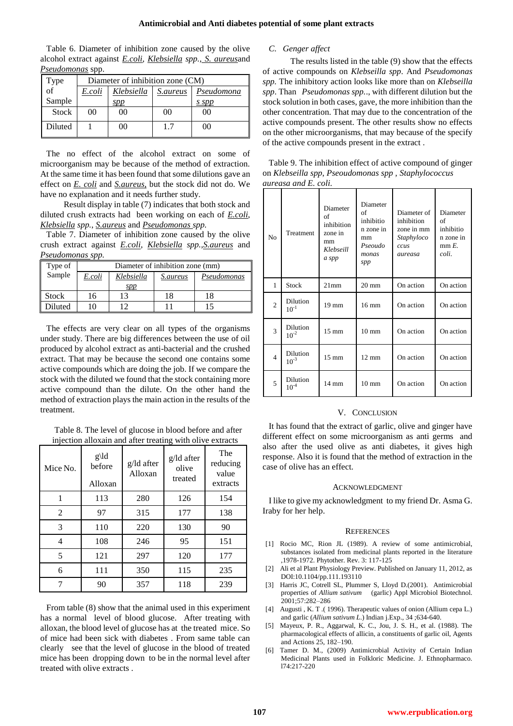#### **Antimicrobial and Anti diabetes potential of some plant extracts**

| Table 6. Diameter of inhibition zone caused by the olive                              |
|---------------------------------------------------------------------------------------|
| alcohol extract against <i>E.coli</i> , <i>Klebsiella spp.</i> , <i>S. aureusa</i> nd |
| Pseudomonas spp.                                                                      |

| Type                  | Diameter of inhibition zone (CM) |                |            |       |
|-----------------------|----------------------------------|----------------|------------|-------|
| $\overrightarrow{of}$ | E.coli                           | Klebsiella     | Pseudomona |       |
| Sample                |                                  | spp            |            | s spp |
| <b>Stock</b>          | 00                               | 0 <sup>0</sup> | 00         | იი    |
| Diluted               |                                  | 00             | 1.7        | იი    |

The no effect of the alcohol extract on some of microorganism may be because of the method of extraction. At the same time it has been found that some dilutions gave an effect on *E. coli* and *S.aureus,* but the stock did not do. We have no explanation and it needs further study.

 Result display in table (7) indicates that both stock and diluted crush extracts had been working on each of *E.coli*, *Klebsiella spp.*, *S.aureus* and *Pseudomonas spp.*

Table 7. Diameter of inhibition zone caused by the olive crush extract against *E.coli*, *Klebsiella spp.,S.aureus* and *Pseudomonas spp.*

| Type of      | Diameter of inhibition zone (mm)                       |     |    |    |  |  |  |
|--------------|--------------------------------------------------------|-----|----|----|--|--|--|
| Sample       | E.coli<br>Klebsiella<br>Pseudomonas<br><i>S.aureus</i> |     |    |    |  |  |  |
|              |                                                        | spp |    |    |  |  |  |
| <b>Stock</b> | 16                                                     | 13  | 18 | 18 |  |  |  |
| Diluted      |                                                        |     |    |    |  |  |  |

The effects are very clear on all types of the organisms under study. There are big differences between the use of oil produced by alcohol extract as anti-bacterial and the crushed extract. That may be because the second one contains some active compounds which are doing the job. If we compare the stock with the diluted we found that the stock containing more active compound than the dilute. On the other hand the method of extraction plays the main action in the results of the treatment.

Table 8. The level of glucose in blood before and after injection alloxain and after treating with olive extracts

| Mice No. | $g\ldot g$<br>before<br>Alloxan | g/ld after<br>Alloxan | g/ld after<br>olive<br>treated | The<br>reducing<br>value<br>extracts |
|----------|---------------------------------|-----------------------|--------------------------------|--------------------------------------|
|          | 113                             | 280                   | 126                            | 154                                  |
| 2        | 97                              | 315                   | 177                            | 138                                  |
| 3        | 110                             | 220                   | 130                            | 90                                   |
| 4        | 108                             | 246                   | 95                             | 151                                  |
| 5        | 121                             | 297                   | 120                            | 177                                  |
| 6        | 111                             | 350                   | 115                            | 235                                  |
|          | 90                              | 357                   | 118                            | 239                                  |

From table (8) show that the animal used in this experiment has a normal level of blood glucose. After treating with alloxan, the blood level of glucose has at the treated mice. So of mice had been sick with diabetes . From same table can clearly see that the level of glucose in the blood of treated mice has been dropping down to be in the normal level after treated with olive extracts .

# *C. Genger affect*

 The results listed in the table (9) show that the effects of active compounds on *Klebseilla spp*. And *Pseudomonas spp.* The inhibitory action looks like more than on *Klebseilla spp*. Than *Pseudomonas spp.*., with different dilution but the stock solution in both cases, gave, the more inhibition than the other concentration. That may due to the concentration of the active compounds present. The other results show no effects on the other microorganisms, that may because of the specify of the active compounds present in the extract .

Table 9. The inhibition effect of active compound of ginger on *Klebseilla spp*, *Pseoudomonas spp , Staphylococcus aureasa and E. coli.*

| No             | Treatment             | Diameter<br>of<br>inhibition<br>zone in<br>mm<br>Klebseill<br>a spp | Diameter<br>of<br>inhibitio<br>n zone in<br>mm<br>Pseoudo<br>monas<br>spp | Diameter of<br>inhibition<br>zone in mm<br>Staphyloco<br>ccus<br>aureasa | Diameter<br>of<br>inhibitio<br>n zone in<br>$mm E$ .<br>coli. |
|----------------|-----------------------|---------------------------------------------------------------------|---------------------------------------------------------------------------|--------------------------------------------------------------------------|---------------------------------------------------------------|
| 1              | <b>Stock</b>          | $21$ mm                                                             | $20 \text{ mm}$                                                           | On action                                                                | On action                                                     |
| $\overline{2}$ | Dilution<br>$10^{-1}$ | $19 \text{ mm}$                                                     | $16 \text{ mm}$                                                           | On action                                                                | On action                                                     |
| 3              | Dilution<br>$10^{-2}$ | $15 \text{ mm}$                                                     | $10 \text{ mm}$                                                           | On action                                                                | On action                                                     |
| $\overline{4}$ | Dilution<br>$10^{-3}$ | $15 \text{ mm}$                                                     | $12 \text{ mm}$                                                           | On action                                                                | On action                                                     |
| 5              | Dilution<br>$10^{-4}$ | $14 \text{ mm}$                                                     | $10 \text{ mm}$                                                           | On action                                                                | On action                                                     |

#### V. CONCLUSION

It has found that the extract of garlic, olive and ginger have different effect on some microorganism as anti germs and also after the used olive as anti diabetes, it gives high response. Also it is found that the method of extraction in the case of olive has an effect.

#### ACKNOWLEDGMENT

I like to give my acknowledgment to my friend Dr. Asma G. Iraby for her help.

#### **REFERENCES**

- [1] Rocio MC, Rion JL (1989). A review of some antimicrobial, substances isolated from medicinal plants reported in the literature ,1978-1972. Phytother. Rev. 3: 117-125
- [2] Ali et al Plant Physiology Preview. Published on January 11, 2012, as DOI:10.1104/pp.111.193110
- [3] Harris JC, Cotrell SL, Plummer S, Lloyd D.(2001). Antimicrobial properties of *Allium sativum* (garlic) Appl Microbiol Biotechnol. 2001;57:282–286
- [4] Augusti , K. T .( 1996). Therapeutic values of onion (Allium cepa L.) and garlic (*Allium sativum L*.) Indian j.Exp., 34 ;634-640.
- [5] Mayeux, P. R., Aggarwal, K. C., Jou, J. S. H., et al. (1988). The pharmacological effects of allicin, a constituents of garlic oil, Agents and Actions 25, 182–190.
- [6] Tamer D. M., (2009) Antimicrobial Activity of Certain Indian Medicinal Plants used in Folkloric Medicine. J. Ethnopharmaco. l74:217-220